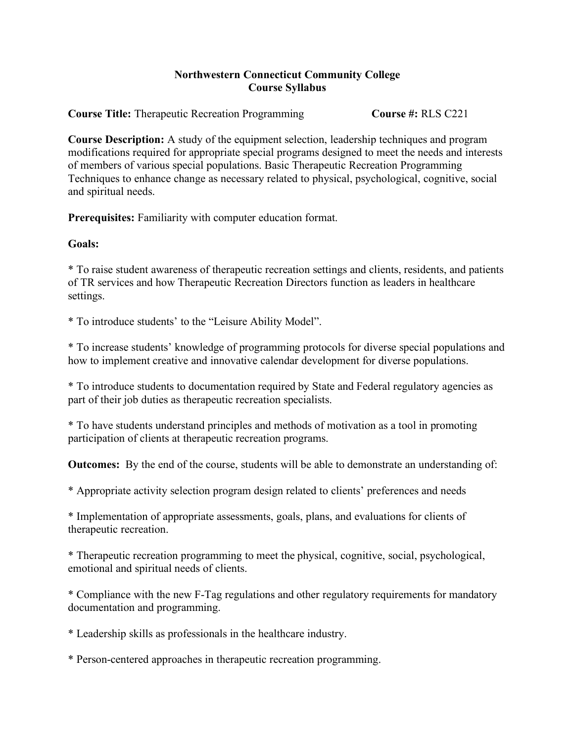## **Northwestern Connecticut Community College Course Syllabus**

**Course Title:** Therapeutic Recreation Programming **Course #:** RLS C221

**Course Description:** A study of the equipment selection, leadership techniques and program modifications required for appropriate special programs designed to meet the needs and interests of members of various special populations. Basic Therapeutic Recreation Programming Techniques to enhance change as necessary related to physical, psychological, cognitive, social and spiritual needs.

**Prerequisites:** Familiarity with computer education format.

## **Goals:**

\* To raise student awareness of therapeutic recreation settings and clients, residents, and patients of TR services and how Therapeutic Recreation Directors function as leaders in healthcare settings.

\* To introduce students' to the "Leisure Ability Model".

\* To increase students' knowledge of programming protocols for diverse special populations and how to implement creative and innovative calendar development for diverse populations.

\* To introduce students to documentation required by State and Federal regulatory agencies as part of their job duties as therapeutic recreation specialists.

\* To have students understand principles and methods of motivation as a tool in promoting participation of clients at therapeutic recreation programs.

**Outcomes:** By the end of the course, students will be able to demonstrate an understanding of:

\* Appropriate activity selection program design related to clients' preferences and needs

\* Implementation of appropriate assessments, goals, plans, and evaluations for clients of therapeutic recreation.

\* Therapeutic recreation programming to meet the physical, cognitive, social, psychological, emotional and spiritual needs of clients.

\* Compliance with the new F-Tag regulations and other regulatory requirements for mandatory documentation and programming.

\* Leadership skills as professionals in the healthcare industry.

\* Person-centered approaches in therapeutic recreation programming.